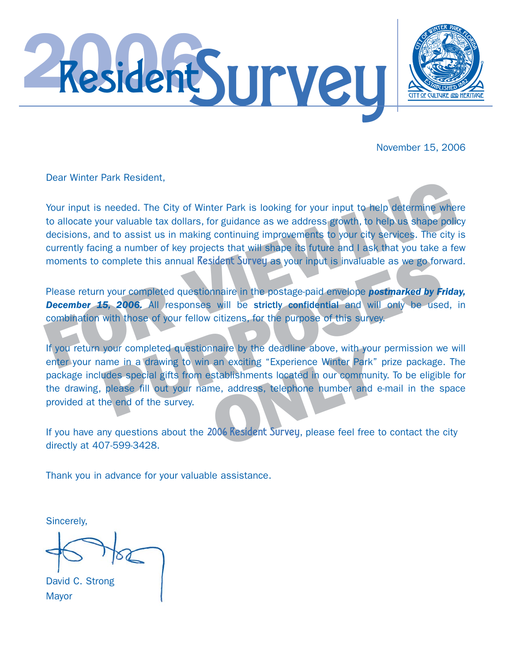



November 15, 2006

Dear Winter Park Resident,

Your input is needed. The City of Winter Park is looking for your input to help determine where to allocate your valuable tax dollars, for guidance as we address growth, to help us shape polid decisions, and to assist us i Your input is needed. The City of Winter Park is looking for your input to help determine where to allocate your valuable tax dollars, for guidance as we address growth, to help us shape policy decisions, and to assist us in making continuing improvements to your city services. The city is currently facing a number of key projects that will shape its future and I ask that you take a few moments to complete this annual **Resident Survey as** your input is invaluable as we go forward.

Please return your completed questionnaire in the postage-paid envelope *postmarked by Friday,* **December 15, 2006.** All responses will be strictly confidential and will only be used, in combination with those of your fellow citizens, for the purpose of this survey.

complete this annual Resident Survey as your input is invaluable as we go for<br>
1 your completed questionnaire in the postage-paid envelope **postmarked by Fr**<br>
5, 2006. All responses will be strictly confidential and will o If you return your completed questionnaire by the deadline above, with your permission we will enter your name in a drawing to win an exciting "Experience Winter Park" prize package. The package includes special gifts from establishments located in our community. To be eligible for the drawing, please fill out your name, address, telephone number and e-mail in the space provided at the end of the survey.

If you have any questions about the 2006 Resident Survey, please feel free to contact the city directly at 407-599-3428.

Thank you in advance for your valuable assistance.

Sincerely,

David C. Strong **Mayor**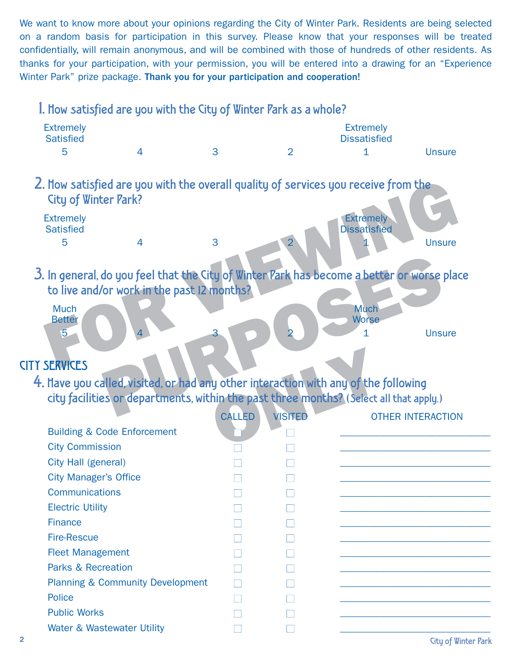We want to know more about your opinions regarding the City of Winter Park. Residents are being selected on a random basis for participation in this survey. Please know that your responses will be treated confidentially, will remain anonymous, and will be combined with those of hundreds of other residents. As thanks for your participation, with your permission, you will be entered into a drawing for an "Experience Winter Park" prize package. Thank you for your participation and cooperation!

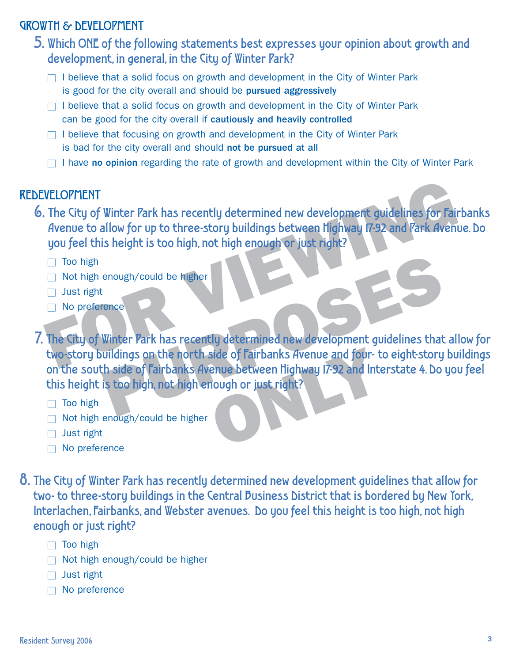# GROWTH & DEVELOPMENT

- 5. Which ONE of the following statements best expresses your opinion about growth and development, in general, in the City of Winter Park?
	- $\Box$  I believe that a solid focus on growth and development in the City of Winter Park is good for the city overall and should be pursued aggressively
	- $\Box$  I believe that a solid focus on growth and development in the City of Winter Park can be good for the city overall if cautiously and heavily controlled
	- $\Box$  I believe that focusing on growth and development in the City of Winter Park is bad for the city overall and should not be pursued at all
	- $\Box$  I have no opinion regarding the rate of growth and development within the City of Winter Park

#### REDEVELOPMENT

- WELOPMENT<br>
The City of Winter Park has recently determined new development guidelines for Fair<br>
divenue to allow for up to three-story buildings between highway 17-92 and Park Avenu<br>
you feel this height is too high, not h 6. The City of Winter Park has recently determined new development guidelines for Fairbanks Avenue to allow for up to three-story buildings between Highway 17-92 and Park Avenue. Do you feel this height is too high, not high enough or just right?
	- $\Box$  Too high
	- $\Box$  Not high enough/could be higher
	- $\Box$  Just right
	- $\Box$  No preference
- enough/could be higher<br>
Winter Park has recently determined new development guidelines that<br>
wildings on the north side of Fairbanks Avenue and four- to eight-story<br>
th side of Fairbanks Avenue between Highway 17-92 and In 7. The City of Winter Park has recently determined new development guidelines that allow for two-story buildings on the north side of Fairbanks Avenue and four- to eight-story buildings on the south side of Fairbanks Avenue between Highway 17-92 and Interstate 4. Do you feel this height is too high, not high enough or just right?
	- $\Box$  Too high
	- $\Box$  Not high enough/could be higher
	- $\Box$  Just right
	- $\Box$  No preference
- 8. The City of Winter Park has recently determined new development guidelines that allow for two- to three-story buildings in the Central Business District that is bordered by New York, Interlachen, Fairbanks, and Webster avenues. Do you feel this height is too high, not high enough or just right?
	- $\Box$  Too high
	- $\Box$  Not high enough/could be higher
	- $\Box$  Just right
	- $\Box$  No preference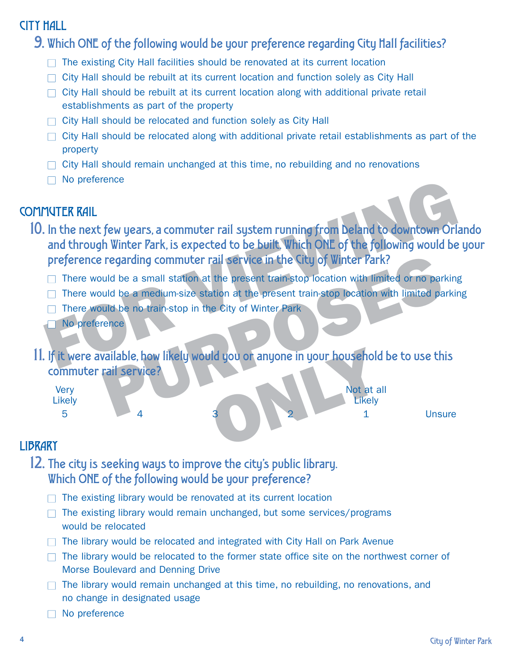# CITY HALL

9. Which ONE of the following would be your preference regarding City Hall facilities?

- $\Box$  The existing City Hall facilities should be renovated at its current location
- $\Box$  City Hall should be rebuilt at its current location and function solely as City Hall
- $\Box$  City Hall should be rebuilt at its current location along with additional private retail establishments as part of the property
- $\Box$  City Hall should be relocated and function solely as City Hall
- $\Box$  City Hall should be relocated along with additional private retail establishments as part of the property
- $\Box$  City Hall should remain unchanged at this time, no rebuilding and no renovations
- $\Box$  No preference

# COMMUTER RAIL

- THE TRAIL<br>
THE TRAIL<br>
In the next few years, a commuter rail system running from beland to downtown Orland<br>
through Winter Park, is expected to be built. Which ONE of the following would be<br>
preference regarding commuter 10. In the next few years, a commuter rail system running from Deland to downtown Orlando and through Winter Park, is expected to be built. Which ONE of the following would be your preference regarding commuter rail service in the City of Winter Park?
	- $\Box$  There would be a small station at the present train-stop location with limited or no parking
	- $\Box$  There would be a medium-size station at the present train-stop location with limited parking
	- $\Box$  There would be no train-stop in the City of Winter Park
	- O No preference
- 11. If it were available, how likely would you or anyone in your household be to use this commuter rail service?



# **LIBRARY**

- 12. The city is seeking ways to improve the city's public library. Which ONE of the following would be your preference?
	- $\Box$  The existing library would be renovated at its current location
	- $\Box$  The existing library would remain unchanged, but some services/programs would be relocated
	- $\Box$  The library would be relocated and integrated with City Hall on Park Avenue
	- $\Box$  The library would be relocated to the former state office site on the northwest corner of Morse Boulevard and Denning Drive
	- $\Box$  The library would remain unchanged at this time, no rebuilding, no renovations, and no change in designated usage
	- $\Box$  No preference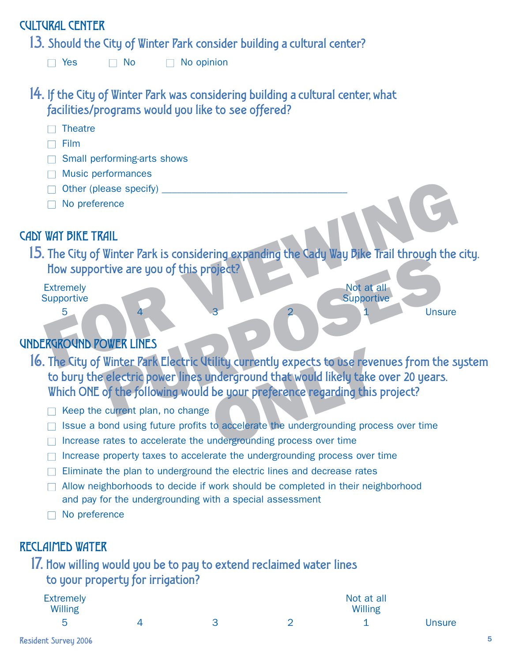# CULTURAL CENTER

13. Should the City of Winter Park consider building a cultural center?

 $\Box$  Yes  $\Box$  No  $\Box$  No opinion

14. If the City of Winter Park was considering building a cultural center, what facilities/programs would you like to see offered?

- $\Box$  Theatre
- $\Box$  Film
- $\Box$  Small performing-arts shows
- $\Box$  Music performances
- $\Box$  Other (please specify)  $\Box$
- $\Box$  No preference

# CADY WAY BIKE TRAIL

WAT BIKE TRAIL<br>
The City of Winter Park is considering expanding the Cady Way Bike Trail through the<br>
How supportive are you of this project?<br>
Extremely<br>
Supportive<br>
For City of Winter Park Electric Utility currently expec 15. The City of Winter Park is considering expanding the Cady Way Bike Trail through the city. How supportive are you of this project?

Extremely Not at all Supportive Supportive Supportive Supportive Supportive Supportive Supportive Supportive

5 4 3 2 1 Unsure

# UNDERGROUND POWER LINES

- WHERE THE IS CONSIDERING EXPAINING THE LADY WAY PINE THAT IS CONSIDERING EXPAINING THE LADY WAY PINE THAT SUPPORTS.<br>
PURPOSE ONLY THE SUPPORTS OF THE SUPPORTS ONLY THE SUPPORTS OF THE SUPPORTS OF THE SUPPORTS OF THE SUPPOR 16. The City of Winter Park Electric Utility currently expects to use revenues from the system to bury the electric power lines underground that would likely take over 20 years. Which ONE of the following would be your preference regarding this project?
	- $\Box$  Keep the current plan, no change
	- $\Box$  Issue a bond using future profits to accelerate the undergrounding process over time
	- $\Box$  Increase rates to accelerate the undergrounding process over time
	- $\Box$  Increase property taxes to accelerate the undergrounding process over time
	- $\Box$  Eliminate the plan to underground the electric lines and decrease rates
	- $\Box$  Allow neighborhoods to decide if work should be completed in their neighborhood and pay for the undergrounding with a special assessment
	- $\Box$  No preference

# RECLAIMED WATER

17. How willing would you be to pay to extend reclaimed water lines to your property for irrigation?

| <b>Extremely</b><br>Willing |  | Not at all<br>Willing |        |
|-----------------------------|--|-----------------------|--------|
| ∽                           |  |                       | Unsure |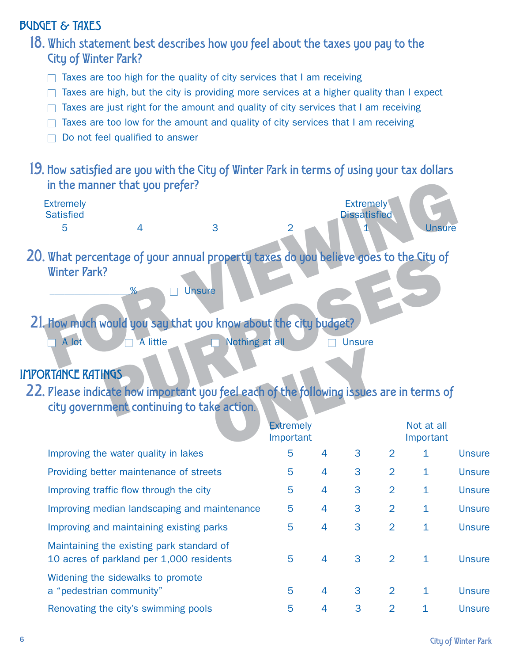# BUDGET & TAXES

18. Which statement best describes how you feel about the taxes you pay to the City of Winter Park?

- $\Box$  Taxes are too high for the quality of city services that I am receiving
- $\Box$  Taxes are high, but the city is providing more services at a higher quality than I expect
- $\Box$  Taxes are just right for the amount and quality of city services that I am receiving
- $\Box$  Taxes are too low for the amount and quality of city services that I am receiving
- $\Box$  Do not feel qualified to answer
- 19. How satisfied are you with the City of Winter Park in terms of using your tax dollars in the manner that you prefer?



IMPORTANCE RATINGS

22. Please indicate how important you feel each of the following issues are in terms of city government continuing to take action.

|                                                                                       | <b>Extremely</b><br>Important |                |   |                | Not at all<br>Important |               |
|---------------------------------------------------------------------------------------|-------------------------------|----------------|---|----------------|-------------------------|---------------|
| Improving the water quality in lakes                                                  | 5                             | $\overline{4}$ | 3 | 2              | 1                       | <b>Unsure</b> |
| Providing better maintenance of streets                                               | 5                             | 4              | 3 | 2              | $\mathbf{1}$            | <b>Unsure</b> |
| Improving traffic flow through the city                                               | 5                             | $\overline{4}$ | 3 | $\overline{2}$ | $\mathbf{1}$            | <b>Unsure</b> |
| Improving median landscaping and maintenance                                          | 5                             | $\overline{4}$ | 3 | 2              | $\mathbf{1}$            | <b>Unsure</b> |
| Improving and maintaining existing parks                                              | 5                             | 4              | 3 | $\overline{2}$ | 1                       | <b>Unsure</b> |
| Maintaining the existing park standard of<br>10 acres of parkland per 1,000 residents | 5                             | $\overline{4}$ | 3 | 2              | $\mathbf{1}$            | <b>Unsure</b> |
| Widening the sidewalks to promote<br>a "pedestrian community"                         | 5                             | $\overline{4}$ | 3 | 2              | $\mathbf{1}$            | <b>Unsure</b> |
| Renovating the city's swimming pools                                                  | 5                             | 4              | 3 | $\overline{2}$ | 1                       | <b>Unsure</b> |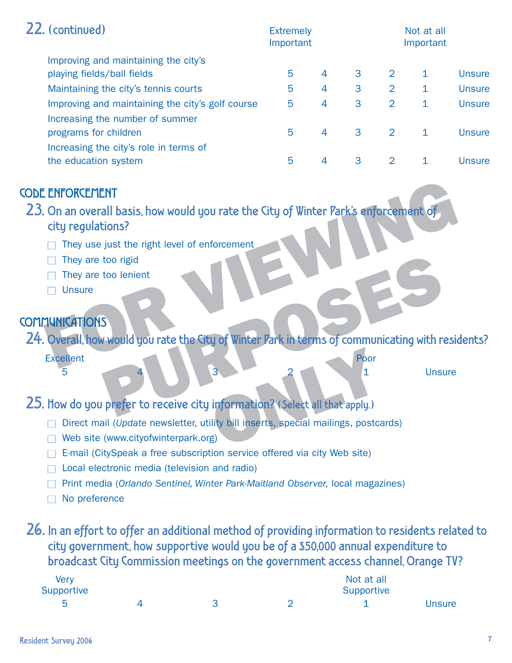| 22. (continued)                                                                     |   | <b>Extremely</b><br>Important |   |   | Not at all<br>Important |               |  |
|-------------------------------------------------------------------------------------|---|-------------------------------|---|---|-------------------------|---------------|--|
| Improving and maintaining the city's<br>playing fields/ball fields                  | 5 | $\overline{4}$                | 3 | 2 |                         | <b>Unsure</b> |  |
| Maintaining the city's tennis courts                                                | 5 | $\overline{4}$                | 3 | 2 | 1.                      | <b>Unsure</b> |  |
| Improving and maintaining the city's golf course<br>Increasing the number of summer | 5 | 4                             | 3 | 2 | 1.                      | <b>Unsure</b> |  |
| programs for children                                                               | 5 | $\overline{4}$                | 3 | 2 |                         | <b>Unsure</b> |  |
| Increasing the city's role in terms of<br>the education system                      | 5 | $\overline{4}$                | 3 | 2 |                         | Unsure        |  |

# CODE ENFORCEMENT

ENFORCEMENT<br>
On an overall basis, how would you rate the City of Winter Park's enforcement of<br>
They use just the right level of enforcement<br>
They are too lenient<br>
They are too lenient<br>
Unsure<br>
Tunications<br>
City of Winter P 23. On an overall basis, how would you rate the City of Winter Park's enforcement of city regulations?

- $\Box$  They use just the right level of enforcement
- $\Box$  They are too rigid
- $\Box$  They are too lenient
- $\Box$  Unsure

# **COMMUNICATIONS**

too lenient<br>
S<br>
S<br>
Pwould you rate the City of Winter Park in terms of communicating with re<br>
Poor<br>
4<br>
Poor<br>
4<br>
Poor<br>
4<br>
Poor<br>
4<br>
Poor<br>
4<br>
Poor<br>
4<br>
2<br>
2<br>
4<br>
2<br>
4<br>
2<br>
4<br>
2<br>
4<br>
2<br>
4<br>
1<br>
Unsu<br>
2<br>
4<br>
2<br>
4<br>
2<br>
2<br>
4<br>
2<br>
2<br>
2<br>
2<br> 24. Overall, how would you rate the City of Winter Park in terms of communicating with residents?

Excellent Poor

5 4 3 2 1 Unsure

- 25. How do you prefer to receive city information? (Select all that apply.)
	- □ Direct mail (*Update* newsletter, utility bill inserts, special mailings, postcards)
	- $\Box$  Web site (www.cityofwinterpark.org)
	- □ E-mail (CitySpeak a free subscription service offered via city Web site)
	- $\Box$  Local electronic media (television and radio)
	- O Print media (*Orlando Sentinel, Winter Park-Maitland Observer,* local magazines)
	- $\Box$  No preference

26. In an effort to offer an additional method of providing information to residents related to city government, how supportive would you be of a \$50,000 annual expenditure to broadcast City Commission meetings on the government access channel, Orange TV?

| <b>Very</b> |  | Not at all |               |
|-------------|--|------------|---------------|
| Supportive  |  | Supportive |               |
| ᄃ           |  |            | <b>Unsure</b> |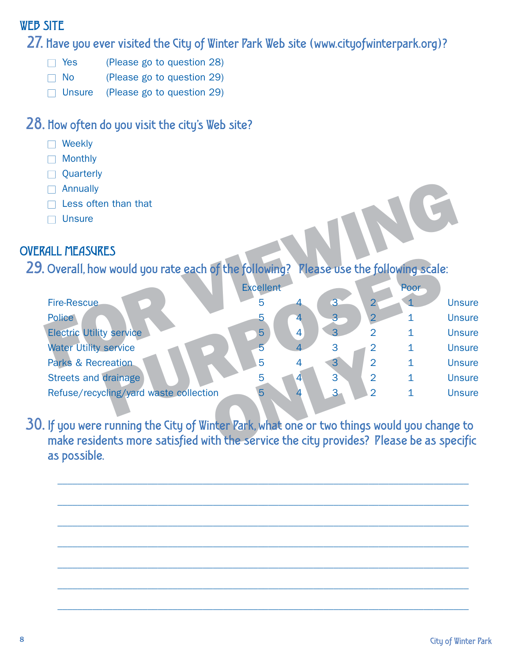# WEB SITE

27. Have you ever visited the City of Winter Park Web site (www.cityofwinterpark.org)?

- $\Box$  Yes (Please go to question 28)
- $\Box$  No (Please go to question 29)
- $\Box$  Unsure (Please go to question 29)

# 28. How often do you visit the city's Web site?

- $\Box$  Weekly
- O Monthly
- **Quarterly**
- $\Box$  Annually
- $\Box$  Less often than that
- $\Box$  Unsure

# OVERALL MEASURES

| Annually<br>Less often than that<br><b>Unsure</b>                                                                                                                                     |                  |                |                |                |                |               |
|---------------------------------------------------------------------------------------------------------------------------------------------------------------------------------------|------------------|----------------|----------------|----------------|----------------|---------------|
| <b>RALL MEASURES</b>                                                                                                                                                                  |                  |                |                |                |                |               |
| 9. Overall, how would you rate each of the following? Rlease use the following scale:                                                                                                 |                  |                |                |                |                |               |
|                                                                                                                                                                                       | <b>Excellent</b> |                |                |                | Poor           |               |
| <b>Fire-Rescue</b>                                                                                                                                                                    | 5                |                | 3              | $\overline{2}$ |                | <b>Unsure</b> |
| <b>Police</b>                                                                                                                                                                         |                  | 4              | 3              | 2              | 1              | <b>Unsure</b> |
| <b>Electric Utility service</b>                                                                                                                                                       | $5\phantom{.}$   | $\overline{4}$ | 3              | $\overline{2}$ | 1              | <b>Unsure</b> |
| <b>Water Utility service</b>                                                                                                                                                          | 5                | 4              | 3              |                | 1              | <b>Unsure</b> |
| <b>Parks &amp; Recreation</b>                                                                                                                                                         | 5                | 4              | 3              | $\overline{2}$ | $\overline{1}$ | <b>Unsure</b> |
| <b>Streets and drainage</b>                                                                                                                                                           | 5                | 4              | $\overline{3}$ | $\overline{2}$ | $\overline{1}$ | <b>Unsure</b> |
| Refuse/recycling/yard waste collection                                                                                                                                                |                  | 4              | 3              | 2              | 1              | <b>Unsure</b> |
| ). If you were running the City of Winter Park, what one or two things would you change to<br>make residents more satisfied with the service the city provides? Please be as specific |                  |                |                |                |                |               |

30. If you were running the City of Winter Park, what one or two things would you change to make residents more satisfied with the service the city provides? Please be as specific as possible.

\_\_\_\_\_\_\_\_\_\_\_\_\_\_\_\_\_\_\_\_\_\_\_\_\_\_\_\_\_\_\_\_\_\_\_\_\_\_\_\_\_\_\_\_\_\_\_\_\_\_\_\_\_\_\_\_\_\_\_\_\_\_\_\_\_\_\_\_\_\_\_\_\_\_\_\_\_\_\_\_\_\_

\_\_\_\_\_\_\_\_\_\_\_\_\_\_\_\_\_\_\_\_\_\_\_\_\_\_\_\_\_\_\_\_\_\_\_\_\_\_\_\_\_\_\_\_\_\_\_\_\_\_\_\_\_\_\_\_\_\_\_\_\_\_\_\_\_\_\_\_\_\_\_\_\_\_\_\_\_\_\_\_\_\_

\_\_\_\_\_\_\_\_\_\_\_\_\_\_\_\_\_\_\_\_\_\_\_\_\_\_\_\_\_\_\_\_\_\_\_\_\_\_\_\_\_\_\_\_\_\_\_\_\_\_\_\_\_\_\_\_\_\_\_\_\_\_\_\_\_\_\_\_\_\_\_\_\_\_\_\_\_\_\_\_\_\_

\_\_\_\_\_\_\_\_\_\_\_\_\_\_\_\_\_\_\_\_\_\_\_\_\_\_\_\_\_\_\_\_\_\_\_\_\_\_\_\_\_\_\_\_\_\_\_\_\_\_\_\_\_\_\_\_\_\_\_\_\_\_\_\_\_\_\_\_\_\_\_\_\_\_\_\_\_\_\_\_\_\_

\_\_\_\_\_\_\_\_\_\_\_\_\_\_\_\_\_\_\_\_\_\_\_\_\_\_\_\_\_\_\_\_\_\_\_\_\_\_\_\_\_\_\_\_\_\_\_\_\_\_\_\_\_\_\_\_\_\_\_\_\_\_\_\_\_\_\_\_\_\_\_\_\_\_\_\_\_\_\_\_\_\_

\_\_\_\_\_\_\_\_\_\_\_\_\_\_\_\_\_\_\_\_\_\_\_\_\_\_\_\_\_\_\_\_\_\_\_\_\_\_\_\_\_\_\_\_\_\_\_\_\_\_\_\_\_\_\_\_\_\_\_\_\_\_\_\_\_\_\_\_\_\_\_\_\_\_\_\_\_\_\_\_\_\_

\_\_\_\_\_\_\_\_\_\_\_\_\_\_\_\_\_\_\_\_\_\_\_\_\_\_\_\_\_\_\_\_\_\_\_\_\_\_\_\_\_\_\_\_\_\_\_\_\_\_\_\_\_\_\_\_\_\_\_\_\_\_\_\_\_\_\_\_\_\_\_\_\_\_\_\_\_\_\_\_\_\_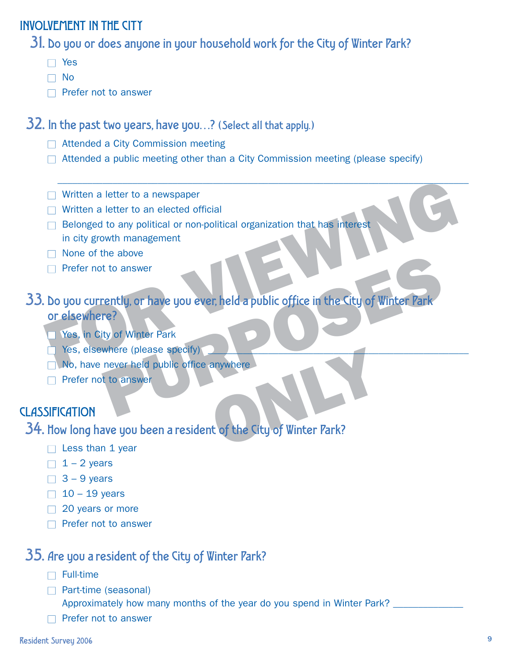# INVOLVEMENT IN THE CITY

31. Do you or does anyone in your household work for the City of Winter Park?

- $\Box$  Yes
- $\Box$  No
- $\Box$  Prefer not to answer

32. In the past two years, have you…? (Select all that apply.)

- $\Box$  Attended a City Commission meeting
- $\Box$  Attended a public meeting other than a City Commission meeting (please specify)

\_\_\_\_\_\_\_\_\_\_\_\_\_\_\_\_\_\_\_\_\_\_\_\_\_\_\_\_\_\_\_\_\_\_\_\_\_\_\_\_\_\_\_\_\_\_\_\_\_\_\_\_\_\_\_\_\_\_\_\_\_\_\_\_\_\_\_\_\_\_\_\_\_\_\_\_\_\_\_\_\_\_

- $\Box$  Written a letter to a newspaper
- $\Box$  Written a letter to an elected official
- □ Belonged to any political or non-political organization that has interest in city growth management
- $\Box$  None of the above
- $\Box$  Prefer not to answer

# ■ Written a letter to a newspaper<br>
■ Written a letter to an elected official<br>
■ Belonged to any political or non-political organization that has interest<br>
in city growth management<br>
■ None of the above<br>
■ Prefer not to an The above<br>
The above<br>
The strip of Winter Park<br>
Where (please specify)<br>
never held public office anywhere<br>
to answer<br>
to answer<br>
ave you been a resident of the City of Winter Park?<br>
Names are would been a resident of the C 33. Do you currently, or have you ever, held a public office in the City of Winter Park or elsewhere?

- **T** Yes, in City of Winter Park
- $\Box$  Yes, elsewhere (please specify)
- $\Box$  No, have never held public office anywhere
- $\Box$  Prefer not to answer

# **CLASSIFICATION**

34. How long have you been a resident of the City of Winter Park?

- $\Box$  Less than 1 year
- $\Box$  1 2 years
- $\Box$  3 9 years
- $\Box$  10 19 years
- $\Box$  20 years or more
- $\Box$  Prefer not to answer

# 35. Are you a resident of the City of Winter Park?

- $\Box$  Full-time
- $\Box$  Part-time (seasonal)

Approximately how many months of the year do you spend in Winter Park?

 $\Box$  Prefer not to answer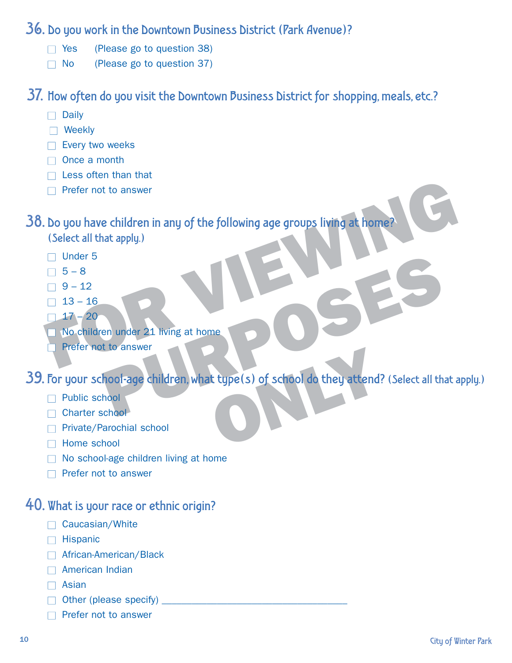#### 36. Do you work in the Downtown Business District (Park Avenue)?

- $\Box$  Yes (Please go to question 38)
- $\Box$  No (Please go to question 37)

37. How often do you visit the Downtown Business District for shopping, meals, etc.?

- $\Box$  Daily
- $\Box$  Weekly
- $\Box$  Every two weeks
- $\Box$  Once a month
- $\Box$  Less often than that
- $\Box$  Prefer not to answer

FOR VIEWING 38. Do you have children in any of the following age groups living at home?

- (Select all that apply.)
- $\Box$  Under 5
- $\Box$  5 8
- $\Box$  9 12
- $\Box$  13 16
- $\Box$  17 20
- $\Box$  No children under 21 living at home
- $\Box$  Prefer not to answer

en under 21 living at home<br>
t to answer<br>
hood-age children, what type(s) of school do they attend? (Select all the<br>
hood<br>
arochial school<br>
hood 39. For your school-age children, what type(s) of school do they attend? (Select all that apply.)

- $\neg$  Public school
- $\Box$  Charter school
- □ Private/Parochial school
- $\Box$  Home school
- $\Box$  No school-age children living at home
- $\Box$  Prefer not to answer

# 40. What is your race or ethnic origin?

- $\Box$  Caucasian/White
- $\Box$  Hispanic
- $\Box$  African-American/Black
- $\Box$  American Indian
- $\Box$  Asian
- $\Box$  Other (please specify)
- $\Box$  Prefer not to answer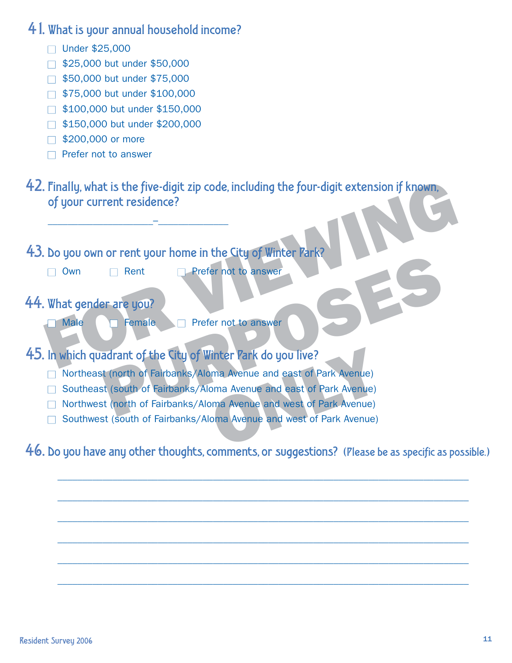41. What is your annual household income?

- $\Box$  Under \$25,000
- $\Box$  \$25,000 but under \$50,000
- $\Box$  \$50,000 but under \$75,000
- $\Box$  \$75,000 but under \$100,000
- $\Box$  \$100,000 but under \$150,000
- $\Box$  \$150,000 but under \$200,000
- $\Box$  \$200,000 or more
- $\Box$  Prefer not to answer
- Finally, what is the five-digit zip code, including the four-digit extension if known,<br>
of your current residence?<br>
Do you own or rent your home in the City of Winter Park?<br>
Down Dent Prefer not to answer.<br>
What gender are 42. Finally, what is the five-digit zip code, including the four-digit extension if known, of your current residence?
- 43. Do you own or rent your home in the City of Winter Park?
	- O Wn Rent **Prefer not to answer**

\_\_\_\_\_\_\_\_\_\_\_\_\_\_\_\_\_\_\_\_\_–\_\_\_\_\_\_\_\_\_\_\_\_\_\_

- 44. What gender are you?
	- O Male **O** Female **O Prefer not to answer**
- 45. In which quadrant of the City of Winter Park do you live?
	- □ Northeast (north of Fairbanks/Aloma Avenue and east of Park Avenue)
- Prefer not to answer<br>
Prefer not to answer<br>
Prefer not to answer<br>
Prefer not to answer<br>
Remaile<br>
Prefer not to answer<br>
Remaile<br>
Prefer not to answer<br>
Remaile<br>
Prefer not to answer<br>
Remaile<br>
Remaile<br>
Remaile<br>
Start of Fairb □ Southeast (south of Fairbanks/Aloma Avenue and east of Park Avenue)
	- □ Northwest (north of Fairbanks/Aloma Avenue and west of Park Avenue)
	- □ Southwest (south of Fairbanks/Aloma Avenue and west of Park Avenue)

46. Do you have any other thoughts, comments, or suggestions? (Please be as specific as possible.)

\_\_\_\_\_\_\_\_\_\_\_\_\_\_\_\_\_\_\_\_\_\_\_\_\_\_\_\_\_\_\_\_\_\_\_\_\_\_\_\_\_\_\_\_\_\_\_\_\_\_\_\_\_\_\_\_\_\_\_\_\_\_\_\_\_\_\_\_\_\_\_\_\_\_\_\_\_\_\_\_\_\_

\_\_\_\_\_\_\_\_\_\_\_\_\_\_\_\_\_\_\_\_\_\_\_\_\_\_\_\_\_\_\_\_\_\_\_\_\_\_\_\_\_\_\_\_\_\_\_\_\_\_\_\_\_\_\_\_\_\_\_\_\_\_\_\_\_\_\_\_\_\_\_\_\_\_\_\_\_\_\_\_\_\_

\_\_\_\_\_\_\_\_\_\_\_\_\_\_\_\_\_\_\_\_\_\_\_\_\_\_\_\_\_\_\_\_\_\_\_\_\_\_\_\_\_\_\_\_\_\_\_\_\_\_\_\_\_\_\_\_\_\_\_\_\_\_\_\_\_\_\_\_\_\_\_\_\_\_\_\_\_\_\_\_\_\_

\_\_\_\_\_\_\_\_\_\_\_\_\_\_\_\_\_\_\_\_\_\_\_\_\_\_\_\_\_\_\_\_\_\_\_\_\_\_\_\_\_\_\_\_\_\_\_\_\_\_\_\_\_\_\_\_\_\_\_\_\_\_\_\_\_\_\_\_\_\_\_\_\_\_\_\_\_\_\_\_\_\_

\_\_\_\_\_\_\_\_\_\_\_\_\_\_\_\_\_\_\_\_\_\_\_\_\_\_\_\_\_\_\_\_\_\_\_\_\_\_\_\_\_\_\_\_\_\_\_\_\_\_\_\_\_\_\_\_\_\_\_\_\_\_\_\_\_\_\_\_\_\_\_\_\_\_\_\_\_\_\_\_\_\_

\_\_\_\_\_\_\_\_\_\_\_\_\_\_\_\_\_\_\_\_\_\_\_\_\_\_\_\_\_\_\_\_\_\_\_\_\_\_\_\_\_\_\_\_\_\_\_\_\_\_\_\_\_\_\_\_\_\_\_\_\_\_\_\_\_\_\_\_\_\_\_\_\_\_\_\_\_\_\_\_\_\_